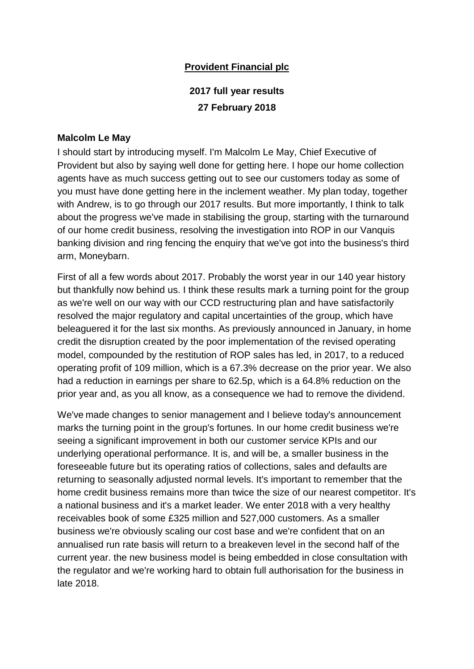## **Provident Financial plc**

# **2017 full year results 27 February 2018**

#### **Malcolm Le May**

I should start by introducing myself. I'm Malcolm Le May, Chief Executive of Provident but also by saying well done for getting here. I hope our home collection agents have as much success getting out to see our customers today as some of you must have done getting here in the inclement weather. My plan today, together with Andrew, is to go through our 2017 results. But more importantly, I think to talk about the progress we've made in stabilising the group, starting with the turnaround of our home credit business, resolving the investigation into ROP in our Vanquis banking division and ring fencing the enquiry that we've got into the business's third arm, Moneybarn.

First of all a few words about 2017. Probably the worst year in our 140 year history but thankfully now behind us. I think these results mark a turning point for the group as we're well on our way with our CCD restructuring plan and have satisfactorily resolved the major regulatory and capital uncertainties of the group, which have beleaguered it for the last six months. As previously announced in January, in home credit the disruption created by the poor implementation of the revised operating model, compounded by the restitution of ROP sales has led, in 2017, to a reduced operating profit of 109 million, which is a 67.3% decrease on the prior year. We also had a reduction in earnings per share to 62.5p, which is a 64.8% reduction on the prior year and, as you all know, as a consequence we had to remove the dividend.

We've made changes to senior management and I believe today's announcement marks the turning point in the group's fortunes. In our home credit business we're seeing a significant improvement in both our customer service KPIs and our underlying operational performance. It is, and will be, a smaller business in the foreseeable future but its operating ratios of collections, sales and defaults are returning to seasonally adjusted normal levels. It's important to remember that the home credit business remains more than twice the size of our nearest competitor. It's a national business and it's a market leader. We enter 2018 with a very healthy receivables book of some £325 million and 527,000 customers. As a smaller business we're obviously scaling our cost base and we're confident that on an annualised run rate basis will return to a breakeven level in the second half of the current year. the new business model is being embedded in close consultation with the regulator and we're working hard to obtain full authorisation for the business in late 2018.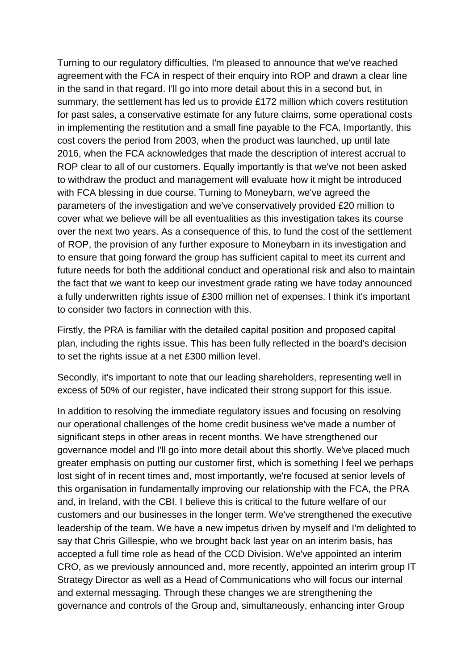Turning to our regulatory difficulties, I'm pleased to announce that we've reached agreement with the FCA in respect of their enquiry into ROP and drawn a clear line in the sand in that regard. I'll go into more detail about this in a second but, in summary, the settlement has led us to provide £172 million which covers restitution for past sales, a conservative estimate for any future claims, some operational costs in implementing the restitution and a small fine payable to the FCA. Importantly, this cost covers the period from 2003, when the product was launched, up until late 2016, when the FCA acknowledges that made the description of interest accrual to ROP clear to all of our customers. Equally importantly is that we've not been asked to withdraw the product and management will evaluate how it might be introduced with FCA blessing in due course. Turning to Moneybarn, we've agreed the parameters of the investigation and we've conservatively provided £20 million to cover what we believe will be all eventualities as this investigation takes its course over the next two years. As a consequence of this, to fund the cost of the settlement of ROP, the provision of any further exposure to Moneybarn in its investigation and to ensure that going forward the group has sufficient capital to meet its current and future needs for both the additional conduct and operational risk and also to maintain the fact that we want to keep our investment grade rating we have today announced a fully underwritten rights issue of £300 million net of expenses. I think it's important to consider two factors in connection with this.

Firstly, the PRA is familiar with the detailed capital position and proposed capital plan, including the rights issue. This has been fully reflected in the board's decision to set the rights issue at a net £300 million level.

Secondly, it's important to note that our leading shareholders, representing well in excess of 50% of our register, have indicated their strong support for this issue.

In addition to resolving the immediate regulatory issues and focusing on resolving our operational challenges of the home credit business we've made a number of significant steps in other areas in recent months. We have strengthened our governance model and I'll go into more detail about this shortly. We've placed much greater emphasis on putting our customer first, which is something I feel we perhaps lost sight of in recent times and, most importantly, we're focused at senior levels of this organisation in fundamentally improving our relationship with the FCA, the PRA and, in Ireland, with the CBI. I believe this is critical to the future welfare of our customers and our businesses in the longer term. We've strengthened the executive leadership of the team. We have a new impetus driven by myself and I'm delighted to say that Chris Gillespie, who we brought back last year on an interim basis, has accepted a full time role as head of the CCD Division. We've appointed an interim CRO, as we previously announced and, more recently, appointed an interim group IT Strategy Director as well as a Head of Communications who will focus our internal and external messaging. Through these changes we are strengthening the governance and controls of the Group and, simultaneously, enhancing inter Group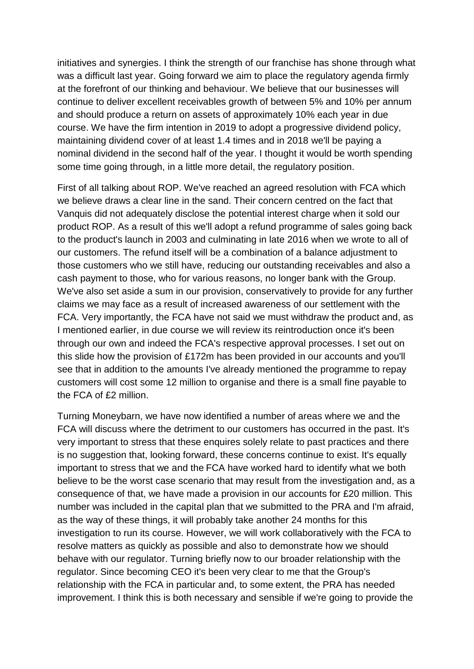initiatives and synergies. I think the strength of our franchise has shone through what was a difficult last year. Going forward we aim to place the regulatory agenda firmly at the forefront of our thinking and behaviour. We believe that our businesses will continue to deliver excellent receivables growth of between 5% and 10% per annum and should produce a return on assets of approximately 10% each year in due course. We have the firm intention in 2019 to adopt a progressive dividend policy, maintaining dividend cover of at least 1.4 times and in 2018 we'll be paying a nominal dividend in the second half of the year. I thought it would be worth spending some time going through, in a little more detail, the regulatory position.

First of all talking about ROP. We've reached an agreed resolution with FCA which we believe draws a clear line in the sand. Their concern centred on the fact that Vanquis did not adequately disclose the potential interest charge when it sold our product ROP. As a result of this we'll adopt a refund programme of sales going back to the product's launch in 2003 and culminating in late 2016 when we wrote to all of our customers. The refund itself will be a combination of a balance adjustment to those customers who we still have, reducing our outstanding receivables and also a cash payment to those, who for various reasons, no longer bank with the Group. We've also set aside a sum in our provision, conservatively to provide for any further claims we may face as a result of increased awareness of our settlement with the FCA. Very importantly, the FCA have not said we must withdraw the product and, as I mentioned earlier, in due course we will review its reintroduction once it's been through our own and indeed the FCA's respective approval processes. I set out on this slide how the provision of £172m has been provided in our accounts and you'll see that in addition to the amounts I've already mentioned the programme to repay customers will cost some 12 million to organise and there is a small fine payable to the FCA of £2 million.

Turning Moneybarn, we have now identified a number of areas where we and the FCA will discuss where the detriment to our customers has occurred in the past. It's very important to stress that these enquires solely relate to past practices and there is no suggestion that, looking forward, these concerns continue to exist. It's equally important to stress that we and the FCA have worked hard to identify what we both believe to be the worst case scenario that may result from the investigation and, as a consequence of that, we have made a provision in our accounts for £20 million. This number was included in the capital plan that we submitted to the PRA and I'm afraid, as the way of these things, it will probably take another 24 months for this investigation to run its course. However, we will work collaboratively with the FCA to resolve matters as quickly as possible and also to demonstrate how we should behave with our regulator. Turning briefly now to our broader relationship with the regulator. Since becoming CEO it's been very clear to me that the Group's relationship with the FCA in particular and, to some extent, the PRA has needed improvement. I think this is both necessary and sensible if we're going to provide the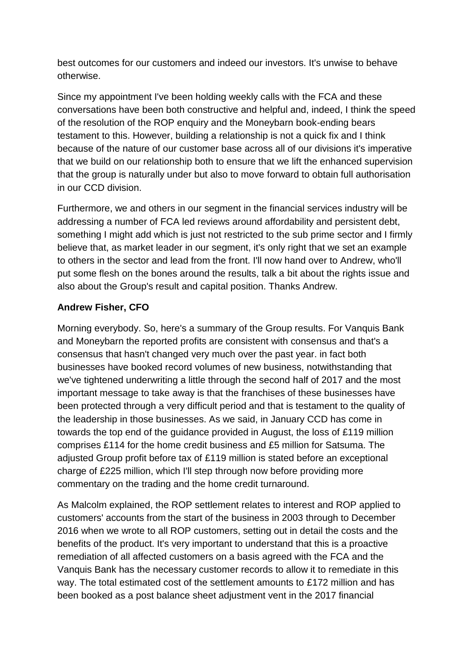best outcomes for our customers and indeed our investors. It's unwise to behave otherwise.

Since my appointment I've been holding weekly calls with the FCA and these conversations have been both constructive and helpful and, indeed, I think the speed of the resolution of the ROP enquiry and the Moneybarn book-ending bears testament to this. However, building a relationship is not a quick fix and I think because of the nature of our customer base across all of our divisions it's imperative that we build on our relationship both to ensure that we lift the enhanced supervision that the group is naturally under but also to move forward to obtain full authorisation in our CCD division.

Furthermore, we and others in our segment in the financial services industry will be addressing a number of FCA led reviews around affordability and persistent debt, something I might add which is just not restricted to the sub prime sector and I firmly believe that, as market leader in our segment, it's only right that we set an example to others in the sector and lead from the front. I'll now hand over to Andrew, who'll put some flesh on the bones around the results, talk a bit about the rights issue and also about the Group's result and capital position. Thanks Andrew.

# **Andrew Fisher, CFO**

Morning everybody. So, here's a summary of the Group results. For Vanquis Bank and Moneybarn the reported profits are consistent with consensus and that's a consensus that hasn't changed very much over the past year. in fact both businesses have booked record volumes of new business, notwithstanding that we've tightened underwriting a little through the second half of 2017 and the most important message to take away is that the franchises of these businesses have been protected through a very difficult period and that is testament to the quality of the leadership in those businesses. As we said, in January CCD has come in towards the top end of the guidance provided in August, the loss of £119 million comprises £114 for the home credit business and £5 million for Satsuma. The adjusted Group profit before tax of £119 million is stated before an exceptional charge of £225 million, which I'll step through now before providing more commentary on the trading and the home credit turnaround.

As Malcolm explained, the ROP settlement relates to interest and ROP applied to customers' accounts from the start of the business in 2003 through to December 2016 when we wrote to all ROP customers, setting out in detail the costs and the benefits of the product. It's very important to understand that this is a proactive remediation of all affected customers on a basis agreed with the FCA and the Vanquis Bank has the necessary customer records to allow it to remediate in this way. The total estimated cost of the settlement amounts to £172 million and has been booked as a post balance sheet adjustment vent in the 2017 financial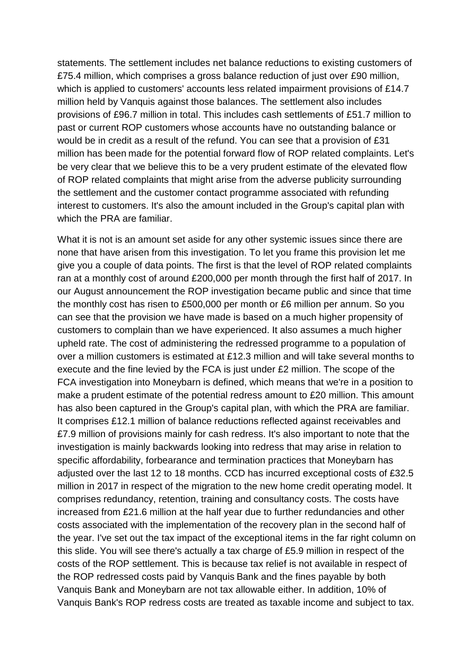statements. The settlement includes net balance reductions to existing customers of £75.4 million, which comprises a gross balance reduction of just over £90 million, which is applied to customers' accounts less related impairment provisions of £14.7 million held by Vanquis against those balances. The settlement also includes provisions of £96.7 million in total. This includes cash settlements of £51.7 million to past or current ROP customers whose accounts have no outstanding balance or would be in credit as a result of the refund. You can see that a provision of £31 million has been made for the potential forward flow of ROP related complaints. Let's be very clear that we believe this to be a very prudent estimate of the elevated flow of ROP related complaints that might arise from the adverse publicity surrounding the settlement and the customer contact programme associated with refunding interest to customers. It's also the amount included in the Group's capital plan with which the PRA are familiar.

What it is not is an amount set aside for any other systemic issues since there are none that have arisen from this investigation. To let you frame this provision let me give you a couple of data points. The first is that the level of ROP related complaints ran at a monthly cost of around £200,000 per month through the first half of 2017. In our August announcement the ROP investigation became public and since that time the monthly cost has risen to £500,000 per month or £6 million per annum. So you can see that the provision we have made is based on a much higher propensity of customers to complain than we have experienced. It also assumes a much higher upheld rate. The cost of administering the redressed programme to a population of over a million customers is estimated at £12.3 million and will take several months to execute and the fine levied by the FCA is just under £2 million. The scope of the FCA investigation into Moneybarn is defined, which means that we're in a position to make a prudent estimate of the potential redress amount to £20 million. This amount has also been captured in the Group's capital plan, with which the PRA are familiar. It comprises £12.1 million of balance reductions reflected against receivables and £7.9 million of provisions mainly for cash redress. It's also important to note that the investigation is mainly backwards looking into redress that may arise in relation to specific affordability, forbearance and termination practices that Moneybarn has adjusted over the last 12 to 18 months. CCD has incurred exceptional costs of £32.5 million in 2017 in respect of the migration to the new home credit operating model. It comprises redundancy, retention, training and consultancy costs. The costs have increased from £21.6 million at the half year due to further redundancies and other costs associated with the implementation of the recovery plan in the second half of the year. I've set out the tax impact of the exceptional items in the far right column on this slide. You will see there's actually a tax charge of £5.9 million in respect of the costs of the ROP settlement. This is because tax relief is not available in respect of the ROP redressed costs paid by Vanquis Bank and the fines payable by both Vanquis Bank and Moneybarn are not tax allowable either. In addition, 10% of Vanquis Bank's ROP redress costs are treated as taxable income and subject to tax.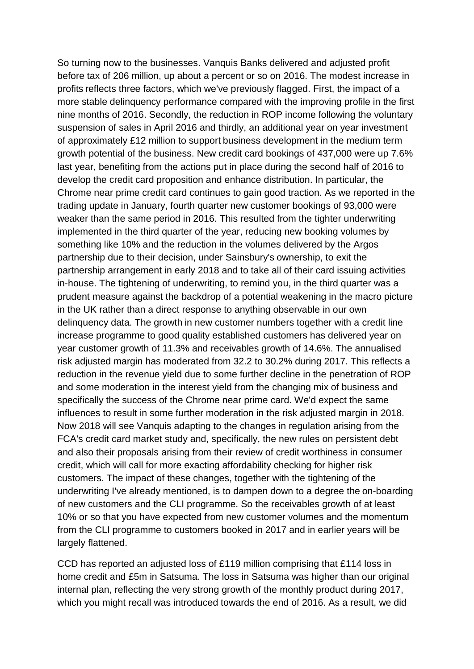So turning now to the businesses. Vanquis Banks delivered and adjusted profit before tax of 206 million, up about a percent or so on 2016. The modest increase in profits reflects three factors, which we've previously flagged. First, the impact of a more stable delinquency performance compared with the improving profile in the first nine months of 2016. Secondly, the reduction in ROP income following the voluntary suspension of sales in April 2016 and thirdly, an additional year on year investment of approximately £12 million to support business development in the medium term growth potential of the business. New credit card bookings of 437,000 were up 7.6% last year, benefiting from the actions put in place during the second half of 2016 to develop the credit card proposition and enhance distribution. In particular, the Chrome near prime credit card continues to gain good traction. As we reported in the trading update in January, fourth quarter new customer bookings of 93,000 were weaker than the same period in 2016. This resulted from the tighter underwriting implemented in the third quarter of the year, reducing new booking volumes by something like 10% and the reduction in the volumes delivered by the Argos partnership due to their decision, under Sainsbury's ownership, to exit the partnership arrangement in early 2018 and to take all of their card issuing activities in-house. The tightening of underwriting, to remind you, in the third quarter was a prudent measure against the backdrop of a potential weakening in the macro picture in the UK rather than a direct response to anything observable in our own delinquency data. The growth in new customer numbers together with a credit line increase programme to good quality established customers has delivered year on year customer growth of 11.3% and receivables growth of 14.6%. The annualised risk adjusted margin has moderated from 32.2 to 30.2% during 2017. This reflects a reduction in the revenue yield due to some further decline in the penetration of ROP and some moderation in the interest yield from the changing mix of business and specifically the success of the Chrome near prime card. We'd expect the same influences to result in some further moderation in the risk adjusted margin in 2018. Now 2018 will see Vanquis adapting to the changes in regulation arising from the FCA's credit card market study and, specifically, the new rules on persistent debt and also their proposals arising from their review of credit worthiness in consumer credit, which will call for more exacting affordability checking for higher risk customers. The impact of these changes, together with the tightening of the underwriting I've already mentioned, is to dampen down to a degree the on-boarding of new customers and the CLI programme. So the receivables growth of at least 10% or so that you have expected from new customer volumes and the momentum from the CLI programme to customers booked in 2017 and in earlier years will be largely flattened.

CCD has reported an adjusted loss of £119 million comprising that £114 loss in home credit and £5m in Satsuma. The loss in Satsuma was higher than our original internal plan, reflecting the very strong growth of the monthly product during 2017, which you might recall was introduced towards the end of 2016. As a result, we did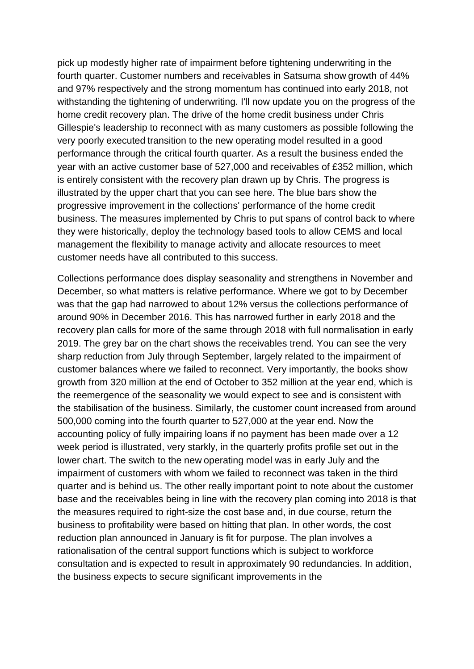pick up modestly higher rate of impairment before tightening underwriting in the fourth quarter. Customer numbers and receivables in Satsuma show growth of 44% and 97% respectively and the strong momentum has continued into early 2018, not withstanding the tightening of underwriting. I'll now update you on the progress of the home credit recovery plan. The drive of the home credit business under Chris Gillespie's leadership to reconnect with as many customers as possible following the very poorly executed transition to the new operating model resulted in a good performance through the critical fourth quarter. As a result the business ended the year with an active customer base of 527,000 and receivables of £352 million, which is entirely consistent with the recovery plan drawn up by Chris. The progress is illustrated by the upper chart that you can see here. The blue bars show the progressive improvement in the collections' performance of the home credit business. The measures implemented by Chris to put spans of control back to where they were historically, deploy the technology based tools to allow CEMS and local management the flexibility to manage activity and allocate resources to meet customer needs have all contributed to this success.

Collections performance does display seasonality and strengthens in November and December, so what matters is relative performance. Where we got to by December was that the gap had narrowed to about 12% versus the collections performance of around 90% in December 2016. This has narrowed further in early 2018 and the recovery plan calls for more of the same through 2018 with full normalisation in early 2019. The grey bar on the chart shows the receivables trend. You can see the very sharp reduction from July through September, largely related to the impairment of customer balances where we failed to reconnect. Very importantly, the books show growth from 320 million at the end of October to 352 million at the year end, which is the reemergence of the seasonality we would expect to see and is consistent with the stabilisation of the business. Similarly, the customer count increased from around 500,000 coming into the fourth quarter to 527,000 at the year end. Now the accounting policy of fully impairing loans if no payment has been made over a 12 week period is illustrated, very starkly, in the quarterly profits profile set out in the lower chart. The switch to the new operating model was in early July and the impairment of customers with whom we failed to reconnect was taken in the third quarter and is behind us. The other really important point to note about the customer base and the receivables being in line with the recovery plan coming into 2018 is that the measures required to right-size the cost base and, in due course, return the business to profitability were based on hitting that plan. In other words, the cost reduction plan announced in January is fit for purpose. The plan involves a rationalisation of the central support functions which is subject to workforce consultation and is expected to result in approximately 90 redundancies. In addition, the business expects to secure significant improvements in the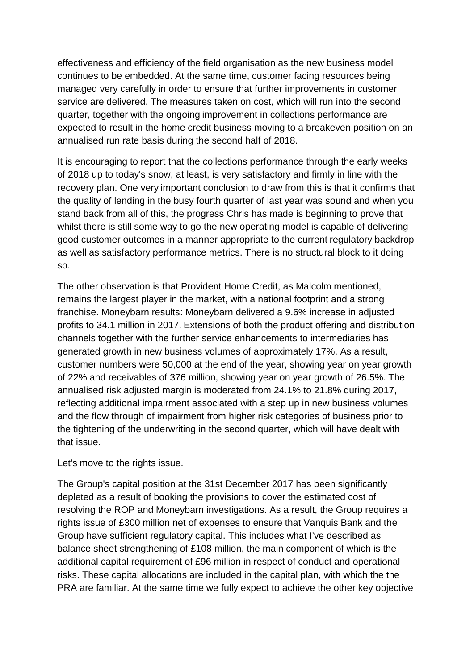effectiveness and efficiency of the field organisation as the new business model continues to be embedded. At the same time, customer facing resources being managed very carefully in order to ensure that further improvements in customer service are delivered. The measures taken on cost, which will run into the second quarter, together with the ongoing improvement in collections performance are expected to result in the home credit business moving to a breakeven position on an annualised run rate basis during the second half of 2018.

It is encouraging to report that the collections performance through the early weeks of 2018 up to today's snow, at least, is very satisfactory and firmly in line with the recovery plan. One very important conclusion to draw from this is that it confirms that the quality of lending in the busy fourth quarter of last year was sound and when you stand back from all of this, the progress Chris has made is beginning to prove that whilst there is still some way to go the new operating model is capable of delivering good customer outcomes in a manner appropriate to the current regulatory backdrop as well as satisfactory performance metrics. There is no structural block to it doing so.

The other observation is that Provident Home Credit, as Malcolm mentioned, remains the largest player in the market, with a national footprint and a strong franchise. Moneybarn results: Moneybarn delivered a 9.6% increase in adjusted profits to 34.1 million in 2017. Extensions of both the product offering and distribution channels together with the further service enhancements to intermediaries has generated growth in new business volumes of approximately 17%. As a result, customer numbers were 50,000 at the end of the year, showing year on year growth of 22% and receivables of 376 million, showing year on year growth of 26.5%. The annualised risk adjusted margin is moderated from 24.1% to 21.8% during 2017, reflecting additional impairment associated with a step up in new business volumes and the flow through of impairment from higher risk categories of business prior to the tightening of the underwriting in the second quarter, which will have dealt with that issue.

Let's move to the rights issue.

The Group's capital position at the 31st December 2017 has been significantly depleted as a result of booking the provisions to cover the estimated cost of resolving the ROP and Moneybarn investigations. As a result, the Group requires a rights issue of £300 million net of expenses to ensure that Vanquis Bank and the Group have sufficient regulatory capital. This includes what I've described as balance sheet strengthening of £108 million, the main component of which is the additional capital requirement of £96 million in respect of conduct and operational risks. These capital allocations are included in the capital plan, with which the the PRA are familiar. At the same time we fully expect to achieve the other key objective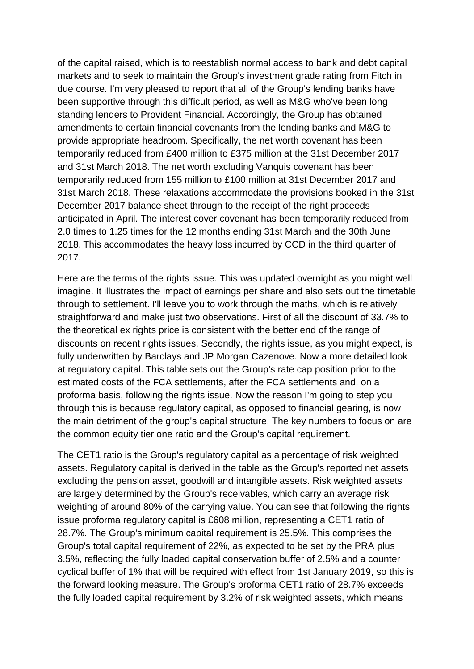of the capital raised, which is to reestablish normal access to bank and debt capital markets and to seek to maintain the Group's investment grade rating from Fitch in due course. I'm very pleased to report that all of the Group's lending banks have been supportive through this difficult period, as well as M&G who've been long standing lenders to Provident Financial. Accordingly, the Group has obtained amendments to certain financial covenants from the lending banks and M&G to provide appropriate headroom. Specifically, the net worth covenant has been temporarily reduced from £400 million to £375 million at the 31st December 2017 and 31st March 2018. The net worth excluding Vanquis covenant has been temporarily reduced from 155 million to £100 million at 31st December 2017 and 31st March 2018. These relaxations accommodate the provisions booked in the 31st December 2017 balance sheet through to the receipt of the right proceeds anticipated in April. The interest cover covenant has been temporarily reduced from 2.0 times to 1.25 times for the 12 months ending 31st March and the 30th June 2018. This accommodates the heavy loss incurred by CCD in the third quarter of 2017.

Here are the terms of the rights issue. This was updated overnight as you might well imagine. It illustrates the impact of earnings per share and also sets out the timetable through to settlement. I'll leave you to work through the maths, which is relatively straightforward and make just two observations. First of all the discount of 33.7% to the theoretical ex rights price is consistent with the better end of the range of discounts on recent rights issues. Secondly, the rights issue, as you might expect, is fully underwritten by Barclays and JP Morgan Cazenove. Now a more detailed look at regulatory capital. This table sets out the Group's rate cap position prior to the estimated costs of the FCA settlements, after the FCA settlements and, on a proforma basis, following the rights issue. Now the reason I'm going to step you through this is because regulatory capital, as opposed to financial gearing, is now the main detriment of the group's capital structure. The key numbers to focus on are the common equity tier one ratio and the Group's capital requirement.

The CET1 ratio is the Group's regulatory capital as a percentage of risk weighted assets. Regulatory capital is derived in the table as the Group's reported net assets excluding the pension asset, goodwill and intangible assets. Risk weighted assets are largely determined by the Group's receivables, which carry an average risk weighting of around 80% of the carrying value. You can see that following the rights issue proforma regulatory capital is £608 million, representing a CET1 ratio of 28.7%. The Group's minimum capital requirement is 25.5%. This comprises the Group's total capital requirement of 22%, as expected to be set by the PRA plus 3.5%, reflecting the fully loaded capital conservation buffer of 2.5% and a counter cyclical buffer of 1% that will be required with effect from 1st January 2019, so this is the forward looking measure. The Group's proforma CET1 ratio of 28.7% exceeds the fully loaded capital requirement by 3.2% of risk weighted assets, which means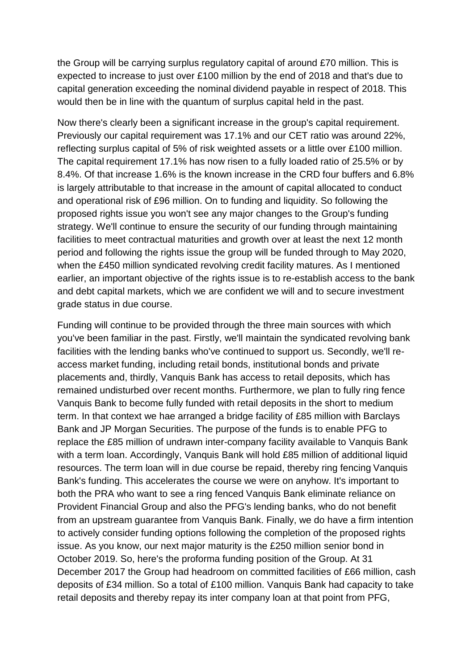the Group will be carrying surplus regulatory capital of around £70 million. This is expected to increase to just over £100 million by the end of 2018 and that's due to capital generation exceeding the nominal dividend payable in respect of 2018. This would then be in line with the quantum of surplus capital held in the past.

Now there's clearly been a significant increase in the group's capital requirement. Previously our capital requirement was 17.1% and our CET ratio was around 22%, reflecting surplus capital of 5% of risk weighted assets or a little over £100 million. The capital requirement 17.1% has now risen to a fully loaded ratio of 25.5% or by 8.4%. Of that increase 1.6% is the known increase in the CRD four buffers and 6.8% is largely attributable to that increase in the amount of capital allocated to conduct and operational risk of £96 million. On to funding and liquidity. So following the proposed rights issue you won't see any major changes to the Group's funding strategy. We'll continue to ensure the security of our funding through maintaining facilities to meet contractual maturities and growth over at least the next 12 month period and following the rights issue the group will be funded through to May 2020, when the £450 million syndicated revolving credit facility matures. As I mentioned earlier, an important objective of the rights issue is to re-establish access to the bank and debt capital markets, which we are confident we will and to secure investment grade status in due course.

Funding will continue to be provided through the three main sources with which you've been familiar in the past. Firstly, we'll maintain the syndicated revolving bank facilities with the lending banks who've continued to support us. Secondly, we'll reaccess market funding, including retail bonds, institutional bonds and private placements and, thirdly, Vanquis Bank has access to retail deposits, which has remained undisturbed over recent months. Furthermore, we plan to fully ring fence Vanquis Bank to become fully funded with retail deposits in the short to medium term. In that context we hae arranged a bridge facility of £85 million with Barclays Bank and JP Morgan Securities. The purpose of the funds is to enable PFG to replace the £85 million of undrawn inter-company facility available to Vanquis Bank with a term loan. Accordingly, Vanquis Bank will hold £85 million of additional liquid resources. The term loan will in due course be repaid, thereby ring fencing Vanquis Bank's funding. This accelerates the course we were on anyhow. It's important to both the PRA who want to see a ring fenced Vanquis Bank eliminate reliance on Provident Financial Group and also the PFG's lending banks, who do not benefit from an upstream guarantee from Vanquis Bank. Finally, we do have a firm intention to actively consider funding options following the completion of the proposed rights issue. As you know, our next major maturity is the £250 million senior bond in October 2019. So, here's the proforma funding position of the Group. At 31 December 2017 the Group had headroom on committed facilities of £66 million, cash deposits of £34 million. So a total of £100 million. Vanquis Bank had capacity to take retail deposits and thereby repay its inter company loan at that point from PFG,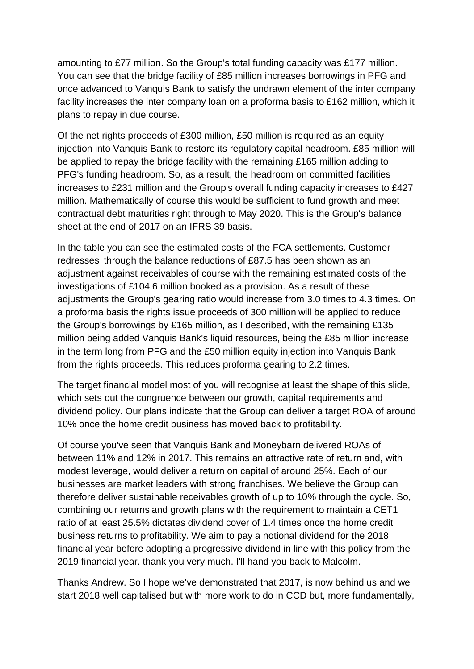amounting to £77 million. So the Group's total funding capacity was £177 million. You can see that the bridge facility of £85 million increases borrowings in PFG and once advanced to Vanquis Bank to satisfy the undrawn element of the inter company facility increases the inter company loan on a proforma basis to £162 million, which it plans to repay in due course.

Of the net rights proceeds of £300 million, £50 million is required as an equity injection into Vanquis Bank to restore its regulatory capital headroom. £85 million will be applied to repay the bridge facility with the remaining £165 million adding to PFG's funding headroom. So, as a result, the headroom on committed facilities increases to £231 million and the Group's overall funding capacity increases to £427 million. Mathematically of course this would be sufficient to fund growth and meet contractual debt maturities right through to May 2020. This is the Group's balance sheet at the end of 2017 on an IFRS 39 basis.

In the table you can see the estimated costs of the FCA settlements. Customer redresses through the balance reductions of £87.5 has been shown as an adjustment against receivables of course with the remaining estimated costs of the investigations of £104.6 million booked as a provision. As a result of these adjustments the Group's gearing ratio would increase from 3.0 times to 4.3 times. On a proforma basis the rights issue proceeds of 300 million will be applied to reduce the Group's borrowings by £165 million, as I described, with the remaining £135 million being added Vanquis Bank's liquid resources, being the £85 million increase in the term long from PFG and the £50 million equity injection into Vanquis Bank from the rights proceeds. This reduces proforma gearing to 2.2 times.

The target financial model most of you will recognise at least the shape of this slide, which sets out the congruence between our growth, capital requirements and dividend policy. Our plans indicate that the Group can deliver a target ROA of around 10% once the home credit business has moved back to profitability.

Of course you've seen that Vanquis Bank and Moneybarn delivered ROAs of between 11% and 12% in 2017. This remains an attractive rate of return and, with modest leverage, would deliver a return on capital of around 25%. Each of our businesses are market leaders with strong franchises. We believe the Group can therefore deliver sustainable receivables growth of up to 10% through the cycle. So, combining our returns and growth plans with the requirement to maintain a CET1 ratio of at least 25.5% dictates dividend cover of 1.4 times once the home credit business returns to profitability. We aim to pay a notional dividend for the 2018 financial year before adopting a progressive dividend in line with this policy from the 2019 financial year. thank you very much. I'll hand you back to Malcolm.

Thanks Andrew. So I hope we've demonstrated that 2017, is now behind us and we start 2018 well capitalised but with more work to do in CCD but, more fundamentally,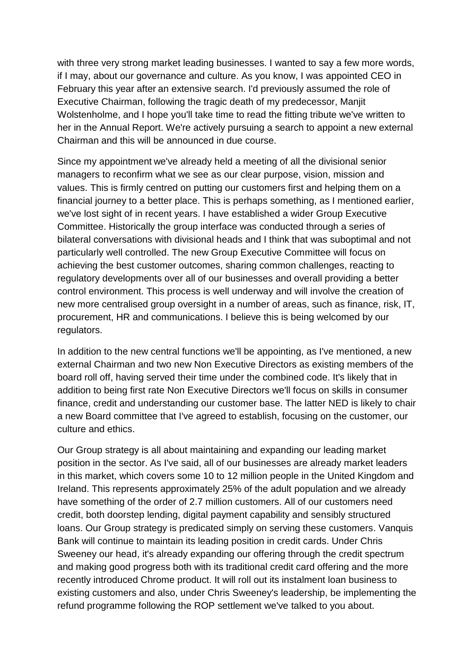with three very strong market leading businesses. I wanted to say a few more words, if I may, about our governance and culture. As you know, I was appointed CEO in February this year after an extensive search. I'd previously assumed the role of Executive Chairman, following the tragic death of my predecessor, Manjit Wolstenholme, and I hope you'll take time to read the fitting tribute we've written to her in the Annual Report. We're actively pursuing a search to appoint a new external Chairman and this will be announced in due course.

Since my appointment we've already held a meeting of all the divisional senior managers to reconfirm what we see as our clear purpose, vision, mission and values. This is firmly centred on putting our customers first and helping them on a financial journey to a better place. This is perhaps something, as I mentioned earlier, we've lost sight of in recent years. I have established a wider Group Executive Committee. Historically the group interface was conducted through a series of bilateral conversations with divisional heads and I think that was suboptimal and not particularly well controlled. The new Group Executive Committee will focus on achieving the best customer outcomes, sharing common challenges, reacting to regulatory developments over all of our businesses and overall providing a better control environment. This process is well underway and will involve the creation of new more centralised group oversight in a number of areas, such as finance, risk, IT, procurement, HR and communications. I believe this is being welcomed by our regulators.

In addition to the new central functions we'll be appointing, as I've mentioned, a new external Chairman and two new Non Executive Directors as existing members of the board roll off, having served their time under the combined code. It's likely that in addition to being first rate Non Executive Directors we'll focus on skills in consumer finance, credit and understanding our customer base. The latter NED is likely to chair a new Board committee that I've agreed to establish, focusing on the customer, our culture and ethics.

Our Group strategy is all about maintaining and expanding our leading market position in the sector. As I've said, all of our businesses are already market leaders in this market, which covers some 10 to 12 million people in the United Kingdom and Ireland. This represents approximately 25% of the adult population and we already have something of the order of 2.7 million customers. All of our customers need credit, both doorstep lending, digital payment capability and sensibly structured loans. Our Group strategy is predicated simply on serving these customers. Vanquis Bank will continue to maintain its leading position in credit cards. Under Chris Sweeney our head, it's already expanding our offering through the credit spectrum and making good progress both with its traditional credit card offering and the more recently introduced Chrome product. It will roll out its instalment loan business to existing customers and also, under Chris Sweeney's leadership, be implementing the refund programme following the ROP settlement we've talked to you about.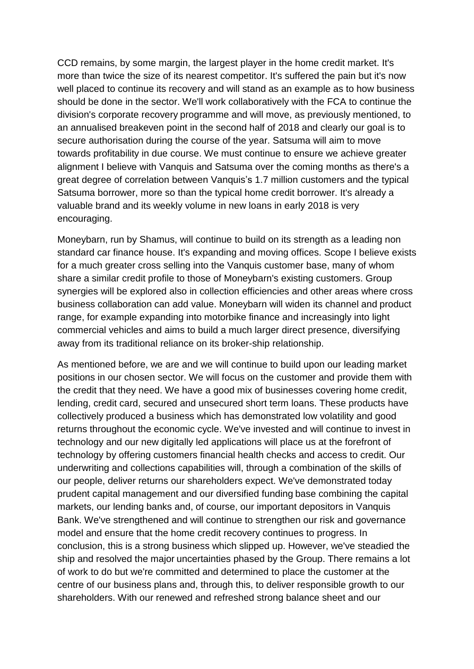CCD remains, by some margin, the largest player in the home credit market. It's more than twice the size of its nearest competitor. It's suffered the pain but it's now well placed to continue its recovery and will stand as an example as to how business should be done in the sector. We'll work collaboratively with the FCA to continue the division's corporate recovery programme and will move, as previously mentioned, to an annualised breakeven point in the second half of 2018 and clearly our goal is to secure authorisation during the course of the year. Satsuma will aim to move towards profitability in due course. We must continue to ensure we achieve greater alignment I believe with Vanquis and Satsuma over the coming months as there's a great degree of correlation between Vanquis's 1.7 million customers and the typical Satsuma borrower, more so than the typical home credit borrower. It's already a valuable brand and its weekly volume in new loans in early 2018 is very encouraging.

Moneybarn, run by Shamus, will continue to build on its strength as a leading non standard car finance house. It's expanding and moving offices. Scope I believe exists for a much greater cross selling into the Vanquis customer base, many of whom share a similar credit profile to those of Moneybarn's existing customers. Group synergies will be explored also in collection efficiencies and other areas where cross business collaboration can add value. Moneybarn will widen its channel and product range, for example expanding into motorbike finance and increasingly into light commercial vehicles and aims to build a much larger direct presence, diversifying away from its traditional reliance on its broker-ship relationship.

As mentioned before, we are and we will continue to build upon our leading market positions in our chosen sector. We will focus on the customer and provide them with the credit that they need. We have a good mix of businesses covering home credit, lending, credit card, secured and unsecured short term loans. These products have collectively produced a business which has demonstrated low volatility and good returns throughout the economic cycle. We've invested and will continue to invest in technology and our new digitally led applications will place us at the forefront of technology by offering customers financial health checks and access to credit. Our underwriting and collections capabilities will, through a combination of the skills of our people, deliver returns our shareholders expect. We've demonstrated today prudent capital management and our diversified funding base combining the capital markets, our lending banks and, of course, our important depositors in Vanquis Bank. We've strengthened and will continue to strengthen our risk and governance model and ensure that the home credit recovery continues to progress. In conclusion, this is a strong business which slipped up. However, we've steadied the ship and resolved the major uncertainties phased by the Group. There remains a lot of work to do but we're committed and determined to place the customer at the centre of our business plans and, through this, to deliver responsible growth to our shareholders. With our renewed and refreshed strong balance sheet and our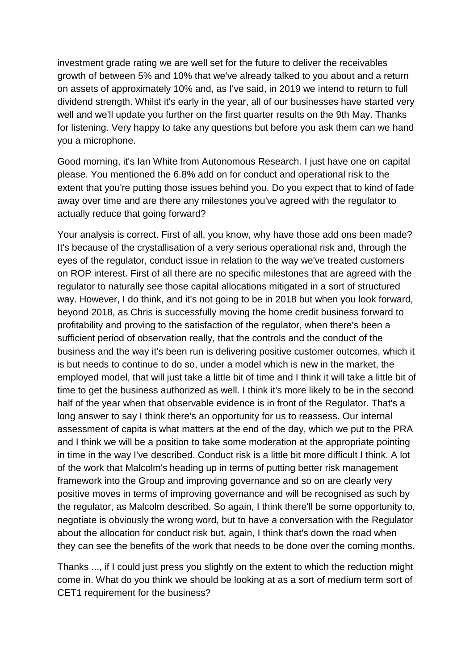investment grade rating we are well set for the future to deliver the receivables growth of between 5% and 10% that we've already talked to you about and a return on assets of approximately 10% and, as I've said, in 2019 we intend to return to full dividend strength. Whilst it's early in the year, all of our businesses have started very well and we'll update you further on the first quarter results on the 9th May. Thanks for listening. Very happy to take any questions but before you ask them can we hand you a microphone.

Good morning, it's Ian White from Autonomous Research. I just have one on capital please. You mentioned the 6.8% add on for conduct and operational risk to the extent that you're putting those issues behind you. Do you expect that to kind of fade away over time and are there any milestones you've agreed with the regulator to actually reduce that going forward?

Your analysis is correct. First of all, you know, why have those add ons been made? It's because of the crystallisation of a very serious operational risk and, through the eyes of the regulator, conduct issue in relation to the way we've treated customers on ROP interest. First of all there are no specific milestones that are agreed with the regulator to naturally see those capital allocations mitigated in a sort of structured way. However, I do think, and it's not going to be in 2018 but when you look forward, beyond 2018, as Chris is successfully moving the home credit business forward to profitability and proving to the satisfaction of the regulator, when there's been a sufficient period of observation really, that the controls and the conduct of the business and the way it's been run is delivering positive customer outcomes, which it is but needs to continue to do so, under a model which is new in the market, the employed model, that will just take a little bit of time and I think it will take a little bit of time to get the business authorized as well. I think it's more likely to be in the second half of the year when that observable evidence is in front of the Regulator. That's a long answer to say I think there's an opportunity for us to reassess. Our internal assessment of capita is what matters at the end of the day, which we put to the PRA and I think we will be a position to take some moderation at the appropriate pointing in time in the way I've described. Conduct risk is a little bit more difficult I think. A lot of the work that Malcolm's heading up in terms of putting better risk management framework into the Group and improving governance and so on are clearly very positive moves in terms of improving governance and will be recognised as such by the regulator, as Malcolm described. So again, I think there'll be some opportunity to, negotiate is obviously the wrong word, but to have a conversation with the Regulator about the allocation for conduct risk but, again, I think that's down the road when they can see the benefits of the work that needs to be done over the coming months.

Thanks ..., if I could just press you slightly on the extent to which the reduction might come in. What do you think we should be looking at as a sort of medium term sort of CET1 requirement for the business?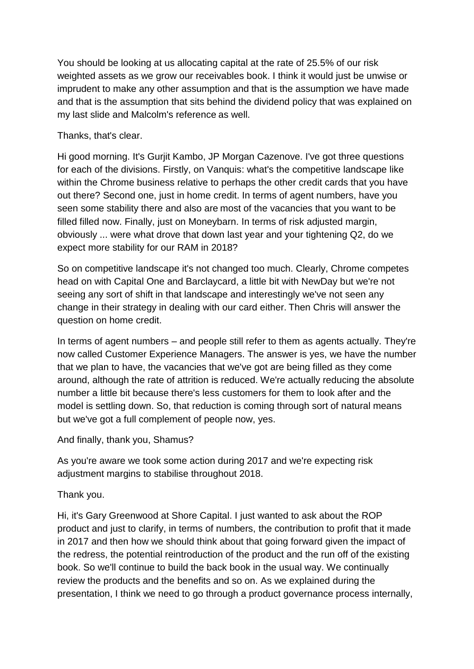You should be looking at us allocating capital at the rate of 25.5% of our risk weighted assets as we grow our receivables book. I think it would just be unwise or imprudent to make any other assumption and that is the assumption we have made and that is the assumption that sits behind the dividend policy that was explained on my last slide and Malcolm's reference as well.

Thanks, that's clear.

Hi good morning. It's Gurjit Kambo, JP Morgan Cazenove. I've got three questions for each of the divisions. Firstly, on Vanquis: what's the competitive landscape like within the Chrome business relative to perhaps the other credit cards that you have out there? Second one, just in home credit. In terms of agent numbers, have you seen some stability there and also are most of the vacancies that you want to be filled filled now. Finally, just on Moneybarn. In terms of risk adjusted margin, obviously ... were what drove that down last year and your tightening Q2, do we expect more stability for our RAM in 2018?

So on competitive landscape it's not changed too much. Clearly, Chrome competes head on with Capital One and Barclaycard, a little bit with NewDay but we're not seeing any sort of shift in that landscape and interestingly we've not seen any change in their strategy in dealing with our card either. Then Chris will answer the question on home credit.

In terms of agent numbers – and people still refer to them as agents actually. They're now called Customer Experience Managers. The answer is yes, we have the number that we plan to have, the vacancies that we've got are being filled as they come around, although the rate of attrition is reduced. We're actually reducing the absolute number a little bit because there's less customers for them to look after and the model is settling down. So, that reduction is coming through sort of natural means but we've got a full complement of people now, yes.

And finally, thank you, Shamus?

As you're aware we took some action during 2017 and we're expecting risk adjustment margins to stabilise throughout 2018.

Thank you.

Hi, it's Gary Greenwood at Shore Capital. I just wanted to ask about the ROP product and just to clarify, in terms of numbers, the contribution to profit that it made in 2017 and then how we should think about that going forward given the impact of the redress, the potential reintroduction of the product and the run off of the existing book. So we'll continue to build the back book in the usual way. We continually review the products and the benefits and so on. As we explained during the presentation, I think we need to go through a product governance process internally,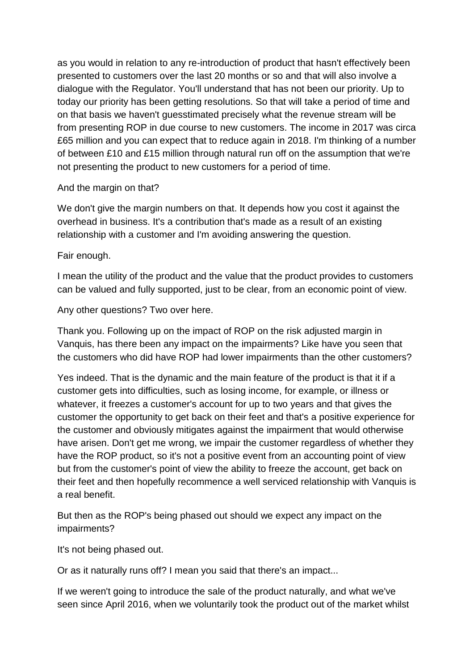as you would in relation to any re-introduction of product that hasn't effectively been presented to customers over the last 20 months or so and that will also involve a dialogue with the Regulator. You'll understand that has not been our priority. Up to today our priority has been getting resolutions. So that will take a period of time and on that basis we haven't guesstimated precisely what the revenue stream will be from presenting ROP in due course to new customers. The income in 2017 was circa £65 million and you can expect that to reduce again in 2018. I'm thinking of a number of between £10 and £15 million through natural run off on the assumption that we're not presenting the product to new customers for a period of time.

## And the margin on that?

We don't give the margin numbers on that. It depends how you cost it against the overhead in business. It's a contribution that's made as a result of an existing relationship with a customer and I'm avoiding answering the question.

Fair enough.

I mean the utility of the product and the value that the product provides to customers can be valued and fully supported, just to be clear, from an economic point of view.

Any other questions? Two over here.

Thank you. Following up on the impact of ROP on the risk adjusted margin in Vanquis, has there been any impact on the impairments? Like have you seen that the customers who did have ROP had lower impairments than the other customers?

Yes indeed. That is the dynamic and the main feature of the product is that it if a customer gets into difficulties, such as losing income, for example, or illness or whatever, it freezes a customer's account for up to two years and that gives the customer the opportunity to get back on their feet and that's a positive experience for the customer and obviously mitigates against the impairment that would otherwise have arisen. Don't get me wrong, we impair the customer regardless of whether they have the ROP product, so it's not a positive event from an accounting point of view but from the customer's point of view the ability to freeze the account, get back on their feet and then hopefully recommence a well serviced relationship with Vanquis is a real benefit.

But then as the ROP's being phased out should we expect any impact on the impairments?

It's not being phased out.

Or as it naturally runs off? I mean you said that there's an impact...

If we weren't going to introduce the sale of the product naturally, and what we've seen since April 2016, when we voluntarily took the product out of the market whilst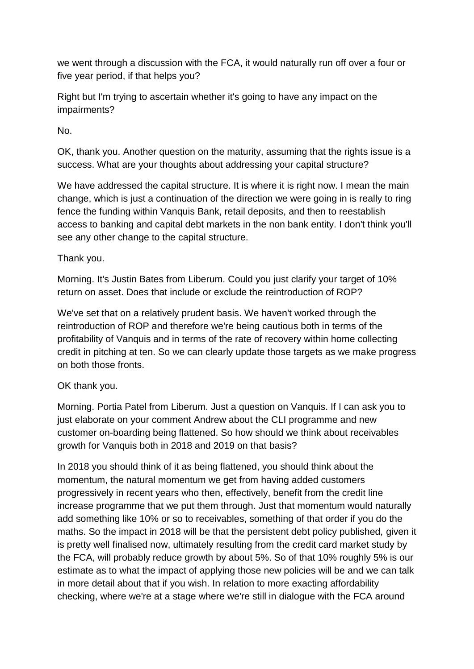we went through a discussion with the FCA, it would naturally run off over a four or five year period, if that helps you?

Right but I'm trying to ascertain whether it's going to have any impact on the impairments?

No.

OK, thank you. Another question on the maturity, assuming that the rights issue is a success. What are your thoughts about addressing your capital structure?

We have addressed the capital structure. It is where it is right now. I mean the main change, which is just a continuation of the direction we were going in is really to ring fence the funding within Vanquis Bank, retail deposits, and then to reestablish access to banking and capital debt markets in the non bank entity. I don't think you'll see any other change to the capital structure.

# Thank you.

Morning. It's Justin Bates from Liberum. Could you just clarify your target of 10% return on asset. Does that include or exclude the reintroduction of ROP?

We've set that on a relatively prudent basis. We haven't worked through the reintroduction of ROP and therefore we're being cautious both in terms of the profitability of Vanquis and in terms of the rate of recovery within home collecting credit in pitching at ten. So we can clearly update those targets as we make progress on both those fronts.

# OK thank you.

Morning. Portia Patel from Liberum. Just a question on Vanquis. If I can ask you to just elaborate on your comment Andrew about the CLI programme and new customer on-boarding being flattened. So how should we think about receivables growth for Vanquis both in 2018 and 2019 on that basis?

In 2018 you should think of it as being flattened, you should think about the momentum, the natural momentum we get from having added customers progressively in recent years who then, effectively, benefit from the credit line increase programme that we put them through. Just that momentum would naturally add something like 10% or so to receivables, something of that order if you do the maths. So the impact in 2018 will be that the persistent debt policy published, given it is pretty well finalised now, ultimately resulting from the credit card market study by the FCA, will probably reduce growth by about 5%. So of that 10% roughly 5% is our estimate as to what the impact of applying those new policies will be and we can talk in more detail about that if you wish. In relation to more exacting affordability checking, where we're at a stage where we're still in dialogue with the FCA around